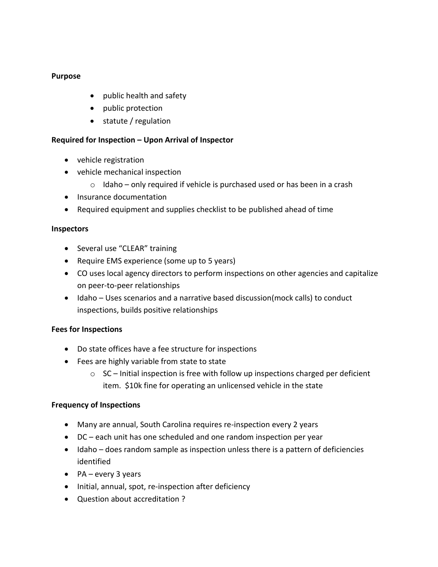## **Purpose**

- public health and safety
- public protection
- statute / regulation

# **Required for Inspection – Upon Arrival of Inspector**

- vehicle registration
- vehicle mechanical inspection
	- $\circ$  Idaho only required if vehicle is purchased used or has been in a crash
- Insurance documentation
- Required equipment and supplies checklist to be published ahead of time

## **Inspectors**

- Several use "CLEAR" training
- Require EMS experience (some up to 5 years)
- CO uses local agency directors to perform inspections on other agencies and capitalize on peer-to-peer relationships
- Idaho Uses scenarios and a narrative based discussion(mock calls) to conduct inspections, builds positive relationships

## **Fees for Inspections**

- Do state offices have a fee structure for inspections
- Fees are highly variable from state to state
	- $\circ$  SC Initial inspection is free with follow up inspections charged per deficient item. \$10k fine for operating an unlicensed vehicle in the state

## **Frequency of Inspections**

- Many are annual, South Carolina requires re-inspection every 2 years
- DC each unit has one scheduled and one random inspection per year
- $\bullet$  Idaho does random sample as inspection unless there is a pattern of deficiencies identified
- $\bullet$  PA every 3 years
- Initial, annual, spot, re-inspection after deficiency
- Question about accreditation ?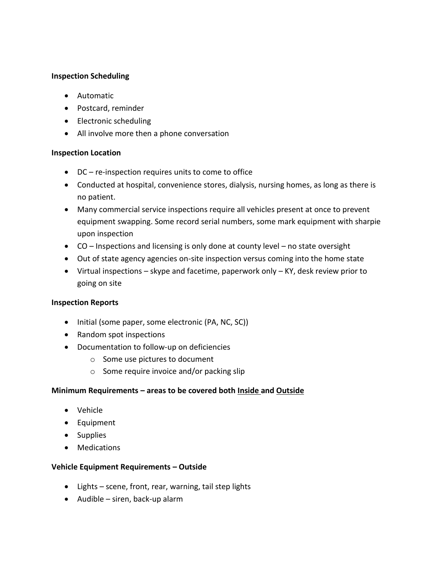## **Inspection Scheduling**

- Automatic
- Postcard, reminder
- Electronic scheduling
- All involve more then a phone conversation

#### **Inspection Location**

- DC re-inspection requires units to come to office
- Conducted at hospital, convenience stores, dialysis, nursing homes, as long as there is no patient.
- Many commercial service inspections require all vehicles present at once to prevent equipment swapping. Some record serial numbers, some mark equipment with sharpie upon inspection
- CO Inspections and licensing is only done at county level no state oversight
- Out of state agency agencies on-site inspection versus coming into the home state
- Virtual inspections skype and facetime, paperwork only KY, desk review prior to going on site

#### **Inspection Reports**

- Initial (some paper, some electronic (PA, NC, SC))
- Random spot inspections
- Documentation to follow-up on deficiencies
	- o Some use pictures to document
	- o Some require invoice and/or packing slip

#### **Minimum Requirements – areas to be covered both Inside and Outside**

- Vehicle
- Equipment
- Supplies
- Medications

#### **Vehicle Equipment Requirements – Outside**

- Lights scene, front, rear, warning, tail step lights
- Audible siren, back-up alarm